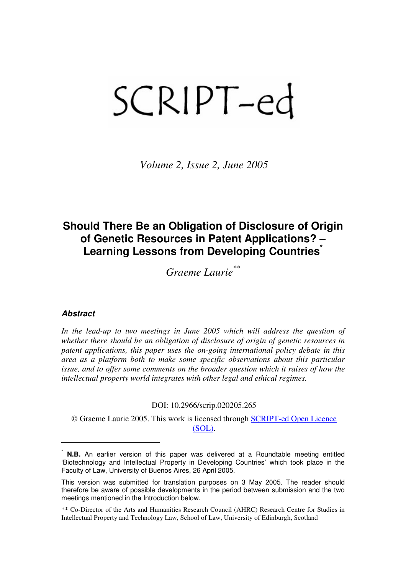# SCRIPT-ed

Volume 2, Issue 2, June 2005

# Should There Be an Obligation of Disclosure of Origin of Genetic Resources in Patent Applications? – Learning Lessons from Developing Countries

Graeme Laurie\*\*

#### **Abstract**

 $\overline{a}$ 

In the lead-up to two meetings in June 2005 which will address the question of whether there should be an obligation of disclosure of origin of genetic resources in patent applications, this paper uses the on-going international policy debate in this area as a platform both to make some specific observations about this particular issue, and to offer some comments on the broader question which it raises of how the intellectual property world integrates with other legal and ethical regimes.

#### DOI: 10.2966/scrip.020205.265

© Graeme Laurie 2005. This work is licensed through SCRIPT-ed Open Licence (SOL).

**N.B.** An earlier version of this paper was delivered at a Roundtable meeting entitled 'Biotechnology and Intellectual Property in Developing Countries' which took place in the Faculty of Law, University of Buenos Aires, 26 April 2005.

This version was submitted for translation purposes on 3 May 2005. The reader should therefore be aware of possible developments in the period between submission and the two meetings mentioned in the Introduction below.

<sup>\*\*</sup> Co-Director of the Arts and Humanities Research Council (AHRC) Research Centre for Studies in Intellectual Property and Technology Law, School of Law, University of Edinburgh, Scotland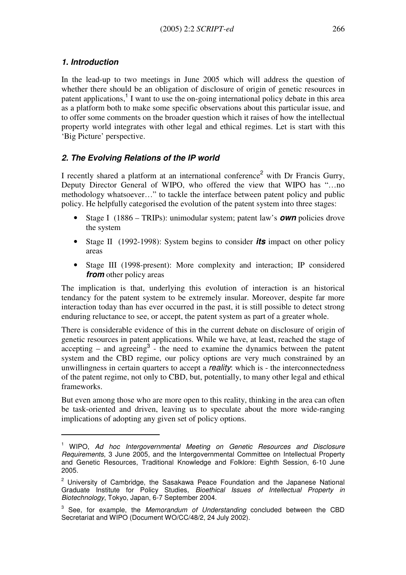#### 1. Introduction

 $\overline{a}$ 

In the lead-up to two meetings in June 2005 which will address the question of whether there should be an obligation of disclosure of origin of genetic resources in patent applications,<sup>1</sup> I want to use the on-going international policy debate in this area as a platform both to make some specific observations about this particular issue, and to offer some comments on the broader question which it raises of how the intellectual property world integrates with other legal and ethical regimes. Let is start with this 'Big Picture' perspective.

# 2. The Evolving Relations of the IP world

I recently shared a platform at an international conference<sup>2</sup> with Dr Francis Gurry, Deputy Director General of WIPO, who offered the view that WIPO has "…no methodology whatsoever…" to tackle the interface between patent policy and public policy. He helpfully categorised the evolution of the patent system into three stages:

- Stage I (1886 TRIPs): unimodular system; patent law's *own* policies drove the system
- Stage II (1992-1998): System begins to consider **its** impact on other policy areas
- Stage III (1998-present): More complexity and interaction; IP considered from other policy areas

The implication is that, underlying this evolution of interaction is an historical tendancy for the patent system to be extremely insular. Moreover, despite far more interaction today than has ever occurred in the past, it is still possible to detect strong enduring reluctance to see, or accept, the patent system as part of a greater whole.

There is considerable evidence of this in the current debate on disclosure of origin of genetic resources in patent applications. While we have, at least, reached the stage of  $\alpha$  accepting – and agreeing<sup>3</sup> - the need to examine the dynamics between the patent system and the CBD regime, our policy options are very much constrained by an unwillingness in certain quarters to accept a *reality*: which is - the interconnectedness of the patent regime, not only to CBD, but, potentially, to many other legal and ethical frameworks.

But even among those who are more open to this reality, thinking in the area can often be task-oriented and driven, leaving us to speculate about the more wide-ranging implications of adopting any given set of policy options.

<sup>&</sup>lt;sup>1</sup> WIPO, Ad hoc Intergovernmental Meeting on Genetic Resources and Disclosure Requirements, 3 June 2005, and the Intergovernmental Committee on Intellectual Property and Genetic Resources, Traditional Knowledge and Folklore: Eighth Session, 6-10 June 2005.

<sup>&</sup>lt;sup>2</sup> University of Cambridge, the Sasakawa Peace Foundation and the Japanese National Graduate Institute for Policy Studies, Bioethical Issues of Intellectual Property in Biotechnology, Tokyo, Japan, 6-7 September 2004.

 $3$  See, for example, the *Memorandum of Understanding* concluded between the CBD Secretariat and WIPO (Document WO/CC/48/2, 24 July 2002).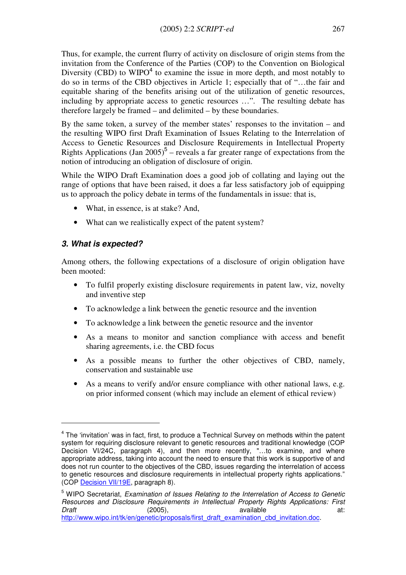Thus, for example, the current flurry of activity on disclosure of origin stems from the invitation from the Conference of the Parties (COP) to the Convention on Biological Diversity (CBD) to  $WIDO<sup>4</sup>$  to examine the issue in more depth, and most notably to do so in terms of the CBD objectives in Article 1; especially that of "…the fair and equitable sharing of the benefits arising out of the utilization of genetic resources, including by appropriate access to genetic resources …". The resulting debate has therefore largely be framed – and delimited – by these boundaries.

By the same token, a survey of the member states' responses to the invitation – and the resulting WIPO first Draft Examination of Issues Relating to the Interrelation of Access to Genetic Resources and Disclosure Requirements in Intellectual Property Rights Applications (Jan  $2005$ )<sup>5</sup> – reveals a far greater range of expectations from the notion of introducing an obligation of disclosure of origin.

While the WIPO Draft Examination does a good job of collating and laying out the range of options that have been raised, it does a far less satisfactory job of equipping us to approach the policy debate in terms of the fundamentals in issue: that is,

- What, in essence, is at stake? And,
- What can we realistically expect of the patent system?

# 3. What is expected?

 $\overline{a}$ 

Among others, the following expectations of a disclosure of origin obligation have been mooted:

- To fulfil properly existing disclosure requirements in patent law, viz, novelty and inventive step
- To acknowledge a link between the genetic resource and the invention
- To acknowledge a link between the genetic resource and the inventor
- As a means to monitor and sanction compliance with access and benefit sharing agreements, i.e. the CBD focus
- As a possible means to further the other objectives of CBD, namely, conservation and sustainable use
- As a means to verify and/or ensure compliance with other national laws, e.g. on prior informed consent (which may include an element of ethical review)

<sup>&</sup>lt;sup>4</sup> The 'invitation' was in fact, first, to produce a Technical Survey on methods within the patent system for requiring disclosure relevant to genetic resources and traditional knowledge (COP Decision VI/24C, paragraph 4), and then more recently, "…to examine, and where appropriate address, taking into account the need to ensure that this work is supportive of and does not run counter to the objectives of the CBD, issues regarding the interrelation of access to genetic resources and disclosure requirements in intellectual property rights applications." (COP Decision VII/19E, paragraph 8).

<sup>&</sup>lt;sup>5</sup> WIPO Secretariat, Examination of Issues Relating to the Interrelation of Access to Genetic Resources and Disclosure Requirements in Intellectual Property Rights Applications: First Draft (2005), available at: http://www.wipo.int/tk/en/genetic/proposals/first\_draft\_examination\_cbd\_invitation.doc.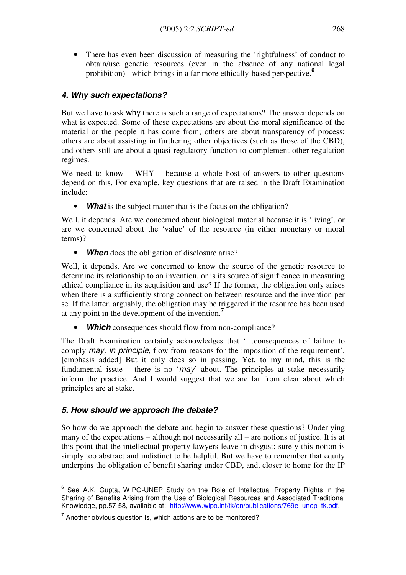There has even been discussion of measuring the 'rightfulness' of conduct to obtain/use genetic resources (even in the absence of any national legal prohibition) - which brings in a far more ethically-based perspective.<sup>6</sup>

#### 4. Why such expectations?

But we have to ask why there is such a range of expectations? The answer depends on what is expected. Some of these expectations are about the moral significance of the material or the people it has come from; others are about transparency of process; others are about assisting in furthering other objectives (such as those of the CBD), and others still are about a quasi-regulatory function to complement other regulation regimes.

We need to know  $-$  WHY  $-$  because a whole host of answers to other questions depend on this. For example, key questions that are raised in the Draft Examination include:

• What is the subject matter that is the focus on the obligation?

Well, it depends. Are we concerned about biological material because it is 'living', or are we concerned about the 'value' of the resource (in either monetary or moral terms)?

• When does the obligation of disclosure arise?

Well, it depends. Are we concerned to know the source of the genetic resource to determine its relationship to an invention, or is its source of significance in measuring ethical compliance in its acquisition and use? If the former, the obligation only arises when there is a sufficiently strong connection between resource and the invention per se. If the latter, arguably, the obligation may be triggered if the resource has been used at any point in the development of the invention.<sup>7</sup>

**Which** consequences should flow from non-compliance?

The Draft Examination certainly acknowledges that '…consequences of failure to comply may, in principle, flow from reasons for the imposition of the requirement'. [emphasis added] But it only does so in passing. Yet, to my mind, this is the fundamental issue – there is no ' $may$ ' about. The principles at stake necessarily inform the practice. And I would suggest that we are far from clear about which principles are at stake.

#### 5. How should we approach the debate?

 $\overline{a}$ 

So how do we approach the debate and begin to answer these questions? Underlying many of the expectations – although not necessarily all – are notions of justice. It is at this point that the intellectual property lawyers leave in disgust: surely this notion is simply too abstract and indistinct to be helpful. But we have to remember that equity underpins the obligation of benefit sharing under CBD, and, closer to home for the IP

 $6$  See A.K. Gupta, WIPO-UNEP Study on the Role of Intellectual Property Rights in the Sharing of Benefits Arising from the Use of Biological Resources and Associated Traditional Knowledge, pp.57-58, available at: http://www.wipo.int/tk/en/publications/769e\_unep\_tk.pdf.

 $7$  Another obvious question is, which actions are to be monitored?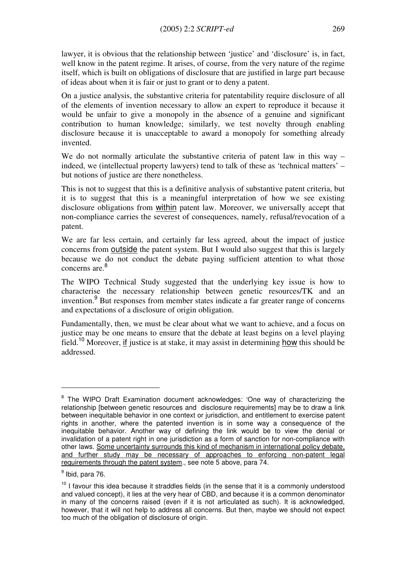lawyer, it is obvious that the relationship between 'justice' and 'disclosure' is, in fact, well know in the patent regime. It arises, of course, from the very nature of the regime itself, which is built on obligations of disclosure that are justified in large part because of ideas about when it is fair or just to grant or to deny a patent.

On a justice analysis, the substantive criteria for patentability require disclosure of all of the elements of invention necessary to allow an expert to reproduce it because it would be unfair to give a monopoly in the absence of a genuine and significant contribution to human knowledge; similarly, we test novelty through enabling disclosure because it is unacceptable to award a monopoly for something already invented.

We do not normally articulate the substantive criteria of patent law in this way – indeed, we (intellectual property lawyers) tend to talk of these as 'technical matters' – but notions of justice are there nonetheless.

This is not to suggest that this is a definitive analysis of substantive patent criteria, but it is to suggest that this is a meaningful interpretation of how we see existing disclosure obligations from within patent law. Moreover, we universally accept that non-compliance carries the severest of consequences, namely, refusal/revocation of a patent.

We are far less certain, and certainly far less agreed, about the impact of justice concerns from outside the patent system. But I would also suggest that this is largely because we do not conduct the debate paying sufficient attention to what those concerns are. 8

The WIPO Technical Study suggested that the underlying key issue is how to characterise the necessary relationship between genetic resources/TK and an invention.<sup>9</sup> But responses from member states indicate a far greater range of concerns and expectations of a disclosure of origin obligation.

Fundamentally, then, we must be clear about what we want to achieve, and a focus on justice may be one means to ensure that the debate at least begins on a level playing field.<sup>10</sup> Moreover, if justice is at stake, it may assist in determining how this should be addressed.

 $\overline{a}$ 

<sup>&</sup>lt;sup>8</sup> The WIPO Draft Examination document acknowledges: 'One way of characterizing the relationship [between genetic resources and disclosure requirements] may be to draw a link between inequitable behavior in one context or jurisdiction, and entitlement to exercise patent rights in another, where the patented invention is in some way a consequence of the inequitable behavior. Another way of defining the link would be to view the denial or invalidation of a patent right in one jurisdiction as a form of sanction for non-compliance with other laws. Some uncertainty surrounds this kind of mechanism in international policy debate, and further study may be necessary of approaches to enforcing non-patent legal requirements through the patent system., see note 5 above, para 74.

 $^9$  Ibid, para 76.

 $10$  I favour this idea because it straddles fields (in the sense that it is a commonly understood and valued concept), it lies at the very hear of CBD, and because it is a common denominator in many of the concerns raised (even if it is not articulated as such). It is acknowledged, however, that it will not help to address all concerns. But then, maybe we should not expect too much of the obligation of disclosure of origin.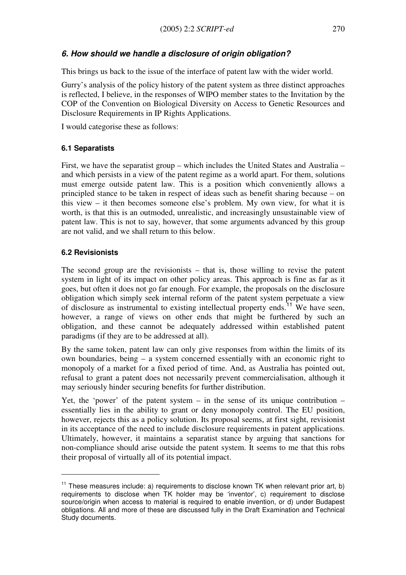# 6. How should we handle a disclosure of origin obligation?

This brings us back to the issue of the interface of patent law with the wider world.

Gurry's analysis of the policy history of the patent system as three distinct approaches is reflected, I believe, in the responses of WIPO member states to the Invitation by the COP of the Convention on Biological Diversity on Access to Genetic Resources and Disclosure Requirements in IP Rights Applications.

I would categorise these as follows:

#### 6.1 Separatists

First, we have the separatist group – which includes the United States and Australia – and which persists in a view of the patent regime as a world apart. For them, solutions must emerge outside patent law. This is a position which conveniently allows a principled stance to be taken in respect of ideas such as benefit sharing because – on this view – it then becomes someone else's problem. My own view, for what it is worth, is that this is an outmoded, unrealistic, and increasingly unsustainable view of patent law. This is not to say, however, that some arguments advanced by this group are not valid, and we shall return to this below.

#### 6.2 Revisionists

 $\overline{a}$ 

The second group are the revisionists – that is, those willing to revise the patent system in light of its impact on other policy areas. This approach is fine as far as it goes, but often it does not go far enough. For example, the proposals on the disclosure obligation which simply seek internal reform of the patent system perpetuate a view of disclosure as instrumental to existing intellectual property ends.<sup>11</sup> We have seen, however, a range of views on other ends that might be furthered by such an obligation, and these cannot be adequately addressed within established patent paradigms (if they are to be addressed at all).

By the same token, patent law can only give responses from within the limits of its own boundaries, being – a system concerned essentially with an economic right to monopoly of a market for a fixed period of time. And, as Australia has pointed out, refusal to grant a patent does not necessarily prevent commercialisation, although it may seriously hinder securing benefits for further distribution.

Yet, the 'power' of the patent system  $-$  in the sense of its unique contribution  $$ essentially lies in the ability to grant or deny monopoly control. The EU position, however, rejects this as a policy solution. Its proposal seems, at first sight, revisionist in its acceptance of the need to include disclosure requirements in patent applications. Ultimately, however, it maintains a separatist stance by arguing that sanctions for non-compliance should arise outside the patent system. It seems to me that this robs their proposal of virtually all of its potential impact.

 $11$  These measures include: a) requirements to disclose known TK when relevant prior art, b) requirements to disclose when TK holder may be 'inventor', c) requirement to disclose source/origin when access to material is required to enable invention, or d) under Budapest obligations. All and more of these are discussed fully in the Draft Examination and Technical Study documents.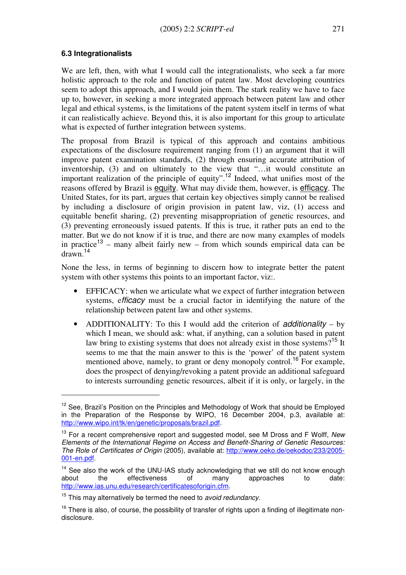#### 6.3 Integrationalists

 $\overline{a}$ 

We are left, then, with what I would call the integrationalists, who seek a far more holistic approach to the role and function of patent law. Most developing countries seem to adopt this approach, and I would join them. The stark reality we have to face up to, however, in seeking a more integrated approach between patent law and other legal and ethical systems, is the limitations of the patent system itself in terms of what it can realistically achieve. Beyond this, it is also important for this group to articulate what is expected of further integration between systems.

The proposal from Brazil is typical of this approach and contains ambitious expectations of the disclosure requirement ranging from (1) an argument that it will improve patent examination standards, (2) through ensuring accurate attribution of inventorship, (3) and on ultimately to the view that "…it would constitute an important realization of the principle of equity".<sup>12</sup> Indeed, what unifies most of the reasons offered by Brazil is equity. What may divide them, however, is efficacy. The United States, for its part, argues that certain key objectives simply cannot be realised by including a disclosure of origin provision in patent law, viz, (1) access and equitable benefit sharing, (2) preventing misappropriation of genetic resources, and (3) preventing erroneously issued patents. If this is true, it rather puts an end to the matter. But we do not know if it is true, and there are now many examples of models in practice<sup>13</sup> – many albeit fairly new – from which sounds empirical data can be drawn.<sup>14</sup>

None the less, in terms of beginning to discern how to integrate better the patent system with other systems this points to an important factor, viz:.

- EFFICACY: when we articulate what we expect of further integration between systems, efficacy must be a crucial factor in identifying the nature of the relationship between patent law and other systems.
- ADDITIONALITY: To this I would add the criterion of additionality by which I mean, we should ask: what, if anything, can a solution based in patent law bring to existing systems that does not already exist in those systems?<sup>15</sup> It seems to me that the main answer to this is the 'power' of the patent system mentioned above, namely, to grant or deny monopoly control.<sup>16</sup> For example, does the prospect of denying/revoking a patent provide an additional safeguard to interests surrounding genetic resources, albeit if it is only, or largely, in the

 $12$  See, Brazil's Position on the Principles and Methodology of Work that should be Employed in the Preparation of the Response by WIPO, 16 December 2004, p.3, available at: http://www.wipo.int/tk/en/genetic/proposals/brazil.pdf.

 $13$  For a recent comprehensive report and suggested model, see M Dross and F Wolff, New Elements of the International Regime on Access and Benefit-Sharing of Genetic Resources: The Role of Certificates of Origin (2005), available at: http://www.oeko.de/oekodoc/233/2005- 001-en.pdf.

<sup>&</sup>lt;sup>14</sup> See also the work of the UNU-IAS study acknowledging that we still do not know enough about the effectiveness of many approaches to date: http://www.ias.unu.edu/research/certificatesoforigin.cfm.

 $15$  This may alternatively be termed the need to *avoid redundancy*.

 $16$  There is also, of course, the possibility of transfer of rights upon a finding of illegitimate nondisclosure.